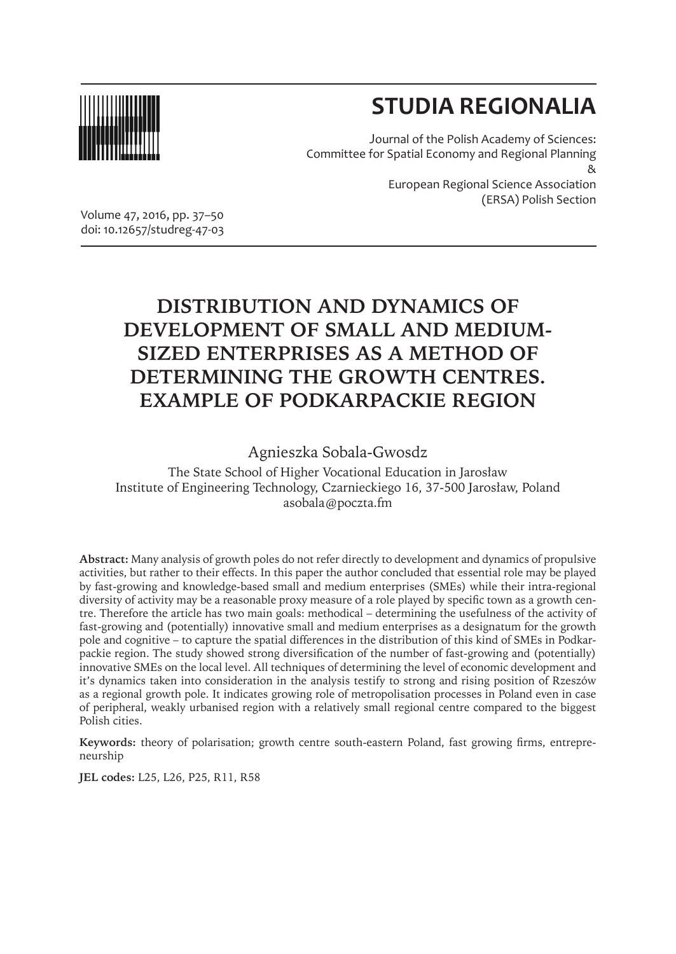

# **STUDIA REGIONALIA**

Journal of the Polish Academy of Sciences: Committee for Spatial Economy and Regional Planning & European Regional Science Association (ERSA) Polish Section

Volume 47, 2016, pp. 37–50 doi: 10.12657/studreg-47-03

# **DISTRIBUTION AND DYNAMICS OF DEVELOPMENT OF SMALL AND MEDIUM-SIZED ENTERPRISES AS A METHOD OF DETERMINING THE GROWTH CENTRES. EXAMPLE OF PODKARPACKIE REGION**

Agnieszka Sobala-Gwosdz

The State School of Higher Vocational Education in Jarosław Institute of Engineering Technology, Czarnieckiego 16, 37-500 Jarosław, Poland asobala@poczta.fm

**Abstract:** Many analysis of growth poles do not refer directly to development and dynamics of propulsive activities, but rather to their effects. In this paper the author concluded that essential role may be played by fast-growing and knowledge-based small and medium enterprises (SMEs) while their intra-regional diversity of activity may be a reasonable proxy measure of a role played by specific town as a growth centre. Therefore the article has two main goals: methodical – determining the usefulness of the activity of fast-growing and (potentially) innovative small and medium enterprises as a designatum for the growth pole and cognitive – to capture the spatial differences in the distribution of this kind of SMEs in Podkarpackie region. The study showed strong diversification of the number of fast-growing and (potentially) innovative SMEs on the local level. All techniques of determining the level of economic development and it's dynamics taken into consideration in the analysis testify to strong and rising position of Rzeszów as a regional growth pole. It indicates growing role of metropolisation processes in Poland even in case of peripheral, weakly urbanised region with a relatively small regional centre compared to the biggest Polish cities.

**Keywords:** theory of polarisation; growth centre south-eastern Poland, fast growing firms, entrepreneurship

**JEL codes:** L25, L26, P25, R11, R58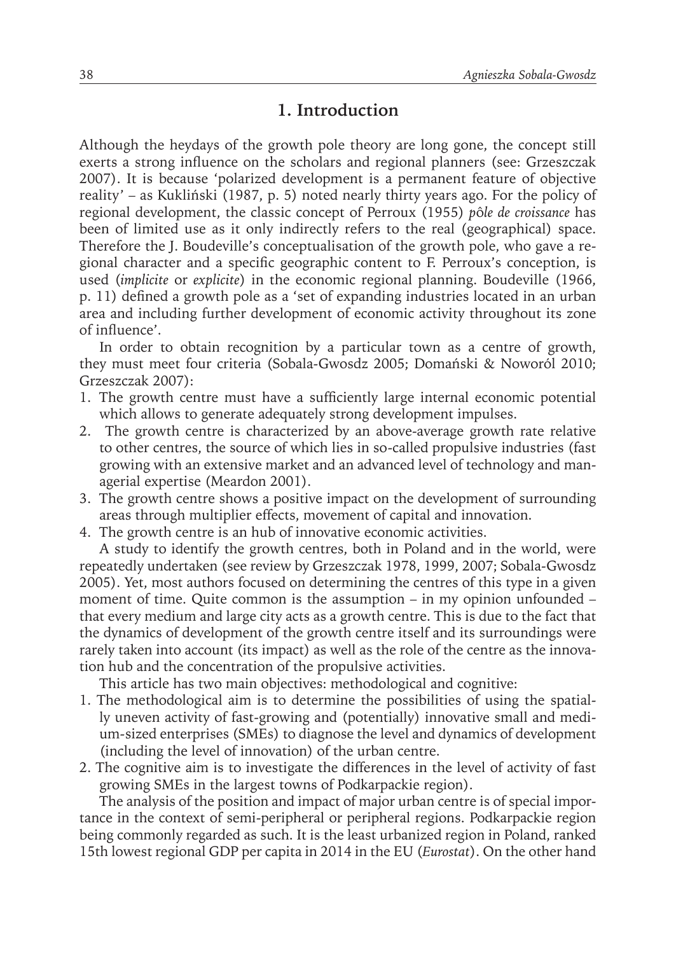### **1. Introduction**

Although the heydays of the growth pole theory are long gone, the concept still exerts a strong influence on the scholars and regional planners (see: Grzeszczak 2007). It is because 'polarized development is a permanent feature of objective reality' – as Kukliński (1987, p. 5) noted nearly thirty years ago. For the policy of regional development, the classic concept of Perroux (1955) *p*ô*le de croissance* has been of limited use as it only indirectly refers to the real (geographical) space. Therefore the J. Boudeville's conceptualisation of the growth pole, who gave a regional character and a specific geographic content to F. Perroux's conception, is used (*implicite* or *explicite*) in the economic regional planning. Boudeville (1966, p. 11) defined a growth pole as a 'set of expanding industries located in an urban area and including further development of economic activity throughout its zone of influence'.

In order to obtain recognition by a particular town as a centre of growth, they must meet four criteria (Sobala-Gwosdz 2005; Domański & Noworól 2010; Grzeszczak 2007):

- 1. The growth centre must have a sufficiently large internal economic potential which allows to generate adequately strong development impulses.
- 2. The growth centre is characterized by an above-average growth rate relative to other centres, the source of which lies in so-called propulsive industries (fast growing with an extensive market and an advanced level of technology and managerial expertise (Meardon 2001).
- 3. The growth centre shows a positive impact on the development of surrounding areas through multiplier effects, movement of capital and innovation.
- 4. The growth centre is an hub of innovative economic activities.

A study to identify the growth centres, both in Poland and in the world, were repeatedly undertaken (see review by Grzeszczak 1978, 1999, 2007; Sobala-Gwosdz 2005). Yet, most authors focused on determining the centres of this type in a given moment of time. Quite common is the assumption – in my opinion unfounded – that every medium and large city acts as a growth centre. This is due to the fact that the dynamics of development of the growth centre itself and its surroundings were rarely taken into account (its impact) as well as the role of the centre as the innovation hub and the concentration of the propulsive activities.

This article has two main objectives: methodological and cognitive:

- 1. The methodological aim is to determine the possibilities of using the spatially uneven activity of fast-growing and (potentially) innovative small and medium-sized enterprises (SMEs) to diagnose the level and dynamics of development (including the level of innovation) of the urban centre.
- 2. The cognitive aim is to investigate the differences in the level of activity of fast growing SMEs in the largest towns of Podkarpackie region).

The analysis of the position and impact of major urban centre is of special importance in the context of semi-peripheral or peripheral regions. Podkarpackie region being commonly regarded as such. It is the least urbanized region in Poland, ranked 15th lowest regional GDP per capita in 2014 in the EU (*Eurostat*). On the other hand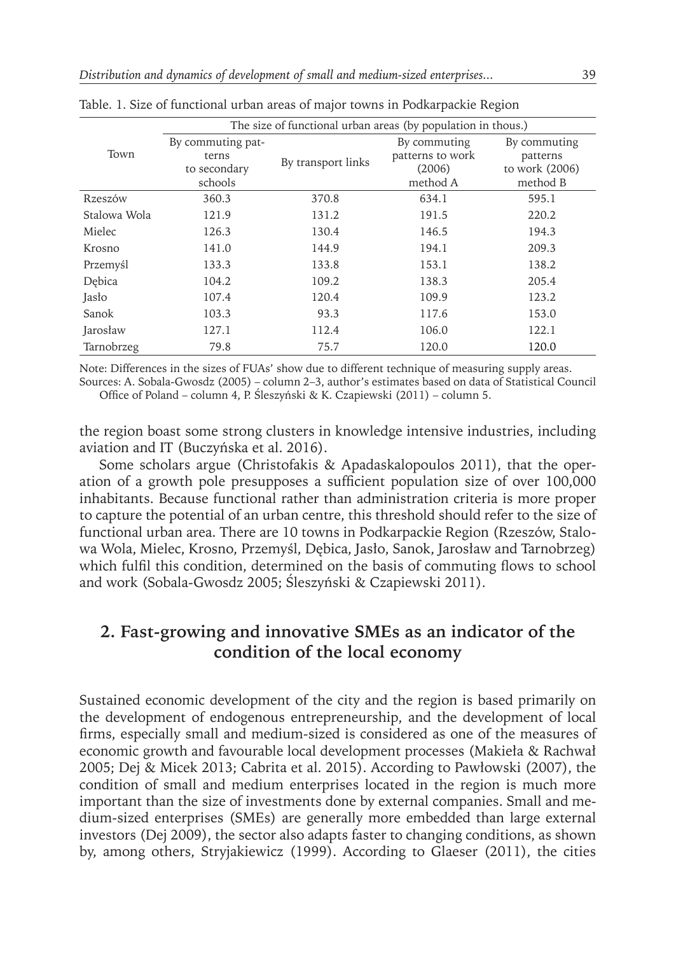|              | The size of functional urban areas (by population in thous.) |                    |                  |                |  |  |  |  |
|--------------|--------------------------------------------------------------|--------------------|------------------|----------------|--|--|--|--|
| Town         | By commuting pat-                                            |                    | By commuting     | By commuting   |  |  |  |  |
|              | terns                                                        | By transport links | patterns to work | patterns       |  |  |  |  |
|              | to secondary                                                 |                    | (2006)           | to work (2006) |  |  |  |  |
|              | schools                                                      |                    | method A         | method B       |  |  |  |  |
| Rzeszów      | 360.3                                                        | 370.8              | 634.1            | 595.1          |  |  |  |  |
| Stalowa Wola | 121.9                                                        | 131.2              | 191.5            | 220.2          |  |  |  |  |
| Mielec       | 126.3                                                        | 130.4              | 146.5            | 194.3          |  |  |  |  |
| Krosno       | 141.0                                                        | 144.9              | 194.1            | 209.3          |  |  |  |  |
| Przemyśl     | 133.3                                                        | 133.8              | 153.1            | 138.2          |  |  |  |  |
| Debica       | 104.2                                                        | 109.2              | 138.3            | 205.4          |  |  |  |  |
| Jasło        | 107.4                                                        | 120.4              | 109.9            | 123.2          |  |  |  |  |
| Sanok        | 103.3                                                        | 93.3               | 117.6            | 153.0          |  |  |  |  |
| Jarosław     | 127.1                                                        | 112.4              | 106.0            | 122.1          |  |  |  |  |
| Tarnobrzeg   | 79.8                                                         | 75.7               | 120.0            | 120.0          |  |  |  |  |

|  |  | Table. 1. Size of functional urban areas of major towns in Podkarpackie Region |  |  |  |  |  |  |  |  |  |  |
|--|--|--------------------------------------------------------------------------------|--|--|--|--|--|--|--|--|--|--|
|--|--|--------------------------------------------------------------------------------|--|--|--|--|--|--|--|--|--|--|

Note: Differences in the sizes of FUAs' show due to different technique of measuring supply areas. Sources: A. Sobala-Gwosdz (2005) – column 2–3, author's estimates based on data of Statistical Council

Office of Poland – column 4, P. Śleszyński & K. Czapiewski (2011) – column 5.

the region boast some strong clusters in knowledge intensive industries, including aviation and IT (Buczyńska et al. 2016).

Some scholars argue (Christofakis & Apadaskalopoulos 2011), that the operation of a growth pole presupposes a sufficient population size of over 100,000 inhabitants. Because functional rather than administration criteria is more proper to capture the potential of an urban centre, this threshold should refer to the size of functional urban area. There are 10 towns in Podkarpackie Region (Rzeszów, Stalowa Wola, Mielec, Krosno, Przemyśl, Dębica, Jasło, Sanok, Jarosław and Tarnobrzeg) which fulfil this condition, determined on the basis of commuting flows to school and work (Sobala-Gwosdz 2005; Śleszyński & Czapiewski 2011).

## **2. Fast-growing and innovative SMEs as an indicator of the condition of the local economy**

Sustained economic development of the city and the region is based primarily on the development of endogenous entrepreneurship, and the development of local firms, especially small and medium-sized is considered as one of the measures of economic growth and favourable local development processes (Makieła & Rachwał 2005; Dej & Micek 2013; Cabrita et al. 2015). According to Pawłowski (2007), the condition of small and medium enterprises located in the region is much more important than the size of investments done by external companies. Small and medium-sized enterprises (SMEs) are generally more embedded than large external investors (Dej 2009), the sector also adapts faster to changing conditions, as shown by, among others, Stryjakiewicz (1999). According to Glaeser (2011), the cities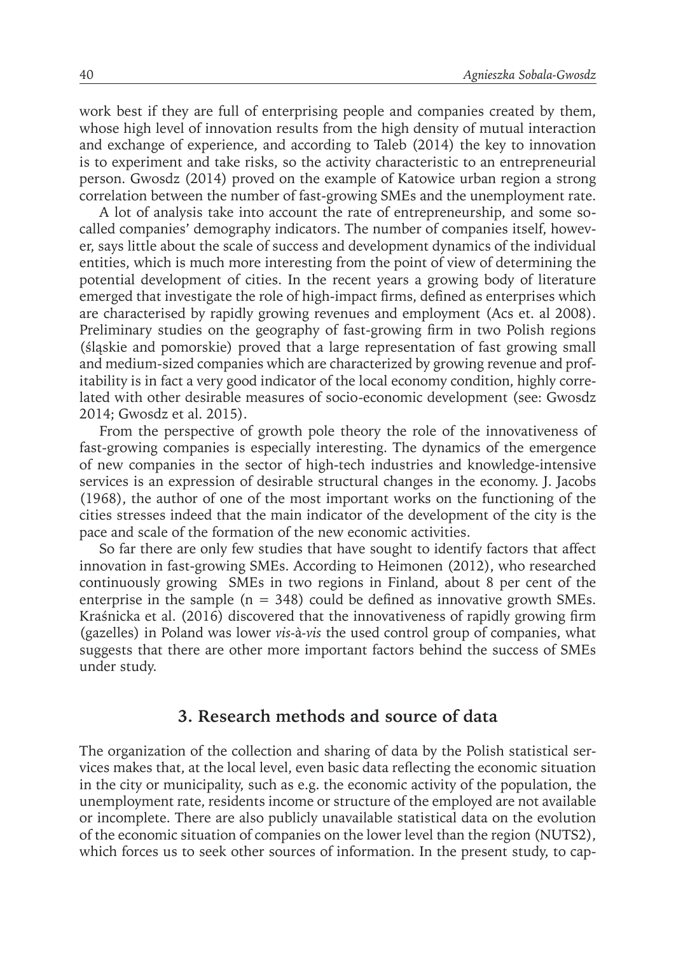work best if they are full of enterprising people and companies created by them, whose high level of innovation results from the high density of mutual interaction and exchange of experience, and according to Taleb (2014) the key to innovation is to experiment and take risks, so the activity characteristic to an entrepreneurial person. Gwosdz (2014) proved on the example of Katowice urban region a strong correlation between the number of fast-growing SMEs and the unemployment rate.

A lot of analysis take into account the rate of entrepreneurship, and some socalled companies' demography indicators. The number of companies itself, however, says little about the scale of success and development dynamics of the individual entities, which is much more interesting from the point of view of determining the potential development of cities. In the recent years a growing body of literature emerged that investigate the role of high-impact firms, defined as enterprises which are characterised by rapidly growing revenues and employment (Acs et. al 2008). Preliminary studies on the geography of fast-growing firm in two Polish regions (śląskie and pomorskie) proved that a large representation of fast growing small and medium-sized companies which are characterized by growing revenue and profitability is in fact a very good indicator of the local economy condition, highly correlated with other desirable measures of socio-economic development (see: Gwosdz 2014; Gwosdz et al. 2015).

From the perspective of growth pole theory the role of the innovativeness of fast-growing companies is especially interesting. The dynamics of the emergence of new companies in the sector of high-tech industries and knowledge-intensive services is an expression of desirable structural changes in the economy. J. Jacobs (1968), the author of one of the most important works on the functioning of the cities stresses indeed that the main indicator of the development of the city is the pace and scale of the formation of the new economic activities.

So far there are only few studies that have sought to identify factors that affect innovation in fast-growing SMEs. According to Heimonen (2012), who researched continuously growing SMEs in two regions in Finland, about 8 per cent of the enterprise in the sample ( $n = 348$ ) could be defined as innovative growth SMEs. Kraśnicka et al. (2016) discovered that the innovativeness of rapidly growing firm (gazelles) in Poland was lower *vis-*à*-vis* the used control group of companies, what suggests that there are other more important factors behind the success of SMEs under study.

#### **3. Research methods and source of data**

The organization of the collection and sharing of data by the Polish statistical services makes that, at the local level, even basic data reflecting the economic situation in the city or municipality, such as e.g. the economic activity of the population, the unemployment rate, residents income or structure of the employed are not available or incomplete. There are also publicly unavailable statistical data on the evolution of the economic situation of companies on the lower level than the region (NUTS2), which forces us to seek other sources of information. In the present study, to cap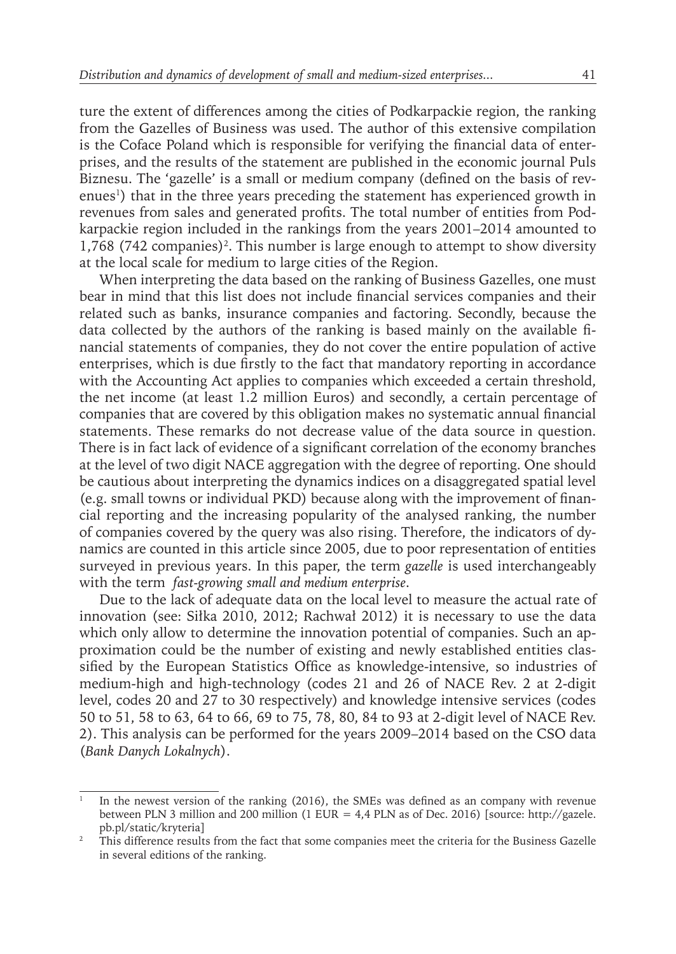ture the extent of differences among the cities of Podkarpackie region, the ranking from the Gazelles of Business was used. The author of this extensive compilation is the Coface Poland which is responsible for verifying the financial data of enterprises, and the results of the statement are published in the economic journal Puls Biznesu. The 'gazelle' is a small or medium company (defined on the basis of revenues<sup>1</sup>) that in the three years preceding the statement has experienced growth in revenues from sales and generated profits. The total number of entities from Podkarpackie region included in the rankings from the years 2001–2014 amounted to 1,768 (742 companies)<sup>2</sup>. This number is large enough to attempt to show diversity at the local scale for medium to large cities of the Region.

When interpreting the data based on the ranking of Business Gazelles, one must bear in mind that this list does not include financial services companies and their related such as banks, insurance companies and factoring. Secondly, because the data collected by the authors of the ranking is based mainly on the available financial statements of companies, they do not cover the entire population of active enterprises, which is due firstly to the fact that mandatory reporting in accordance with the Accounting Act applies to companies which exceeded a certain threshold, the net income (at least 1.2 million Euros) and secondly, a certain percentage of companies that are covered by this obligation makes no systematic annual financial statements. These remarks do not decrease value of the data source in question. There is in fact lack of evidence of a significant correlation of the economy branches at the level of two digit NACE aggregation with the degree of reporting. One should be cautious about interpreting the dynamics indices on a disaggregated spatial level (e.g. small towns or individual PKD) because along with the improvement of financial reporting and the increasing popularity of the analysed ranking, the number of companies covered by the query was also rising. Therefore, the indicators of dynamics are counted in this article since 2005, due to poor representation of entities surveyed in previous years. In this paper, the term *gazelle* is used interchangeably with the term *fast-growing small and medium enterprise*.

Due to the lack of adequate data on the local level to measure the actual rate of innovation (see: Siłka 2010, 2012; Rachwał 2012) it is necessary to use the data which only allow to determine the innovation potential of companies. Such an approximation could be the number of existing and newly established entities classified by the European Statistics Office as knowledge-intensive, so industries of medium-high and high-technology (codes 21 and 26 of NACE Rev. 2 at 2-digit level, codes 20 and 27 to 30 respectively) and knowledge intensive services (codes 50 to 51, 58 to 63, 64 to 66, 69 to 75, 78, 80, 84 to 93 at 2-digit level of NACE Rev. 2). This analysis can be performed for the years 2009–2014 based on the CSO data (*Bank Danych Lokalnych*).

<sup>1</sup> In the newest version of the ranking (2016), the SMEs was defined as an company with revenue between PLN 3 million and 200 million (1 EUR = 4,4 PLN as of Dec. 2016) [source: http://gazele. pb.pl/static/kryteria]

<sup>2</sup> This difference results from the fact that some companies meet the criteria for the Business Gazelle in several editions of the ranking.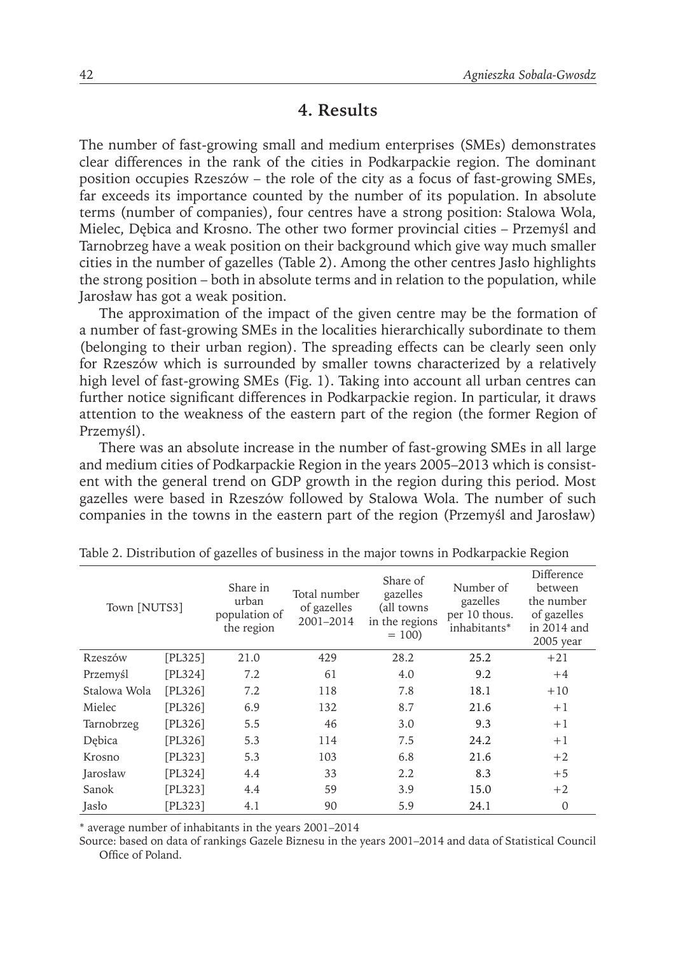#### **4. Results**

The number of fast-growing small and medium enterprises (SMEs) demonstrates clear differences in the rank of the cities in Podkarpackie region. The dominant position occupies Rzeszów – the role of the city as a focus of fast-growing SMEs, far exceeds its importance counted by the number of its population. In absolute terms (number of companies), four centres have a strong position: Stalowa Wola, Mielec, Dębica and Krosno. The other two former provincial cities – Przemyśl and Tarnobrzeg have a weak position on their background which give way much smaller cities in the number of gazelles (Table 2). Among the other centres Jasło highlights the strong position – both in absolute terms and in relation to the population, while Jarosław has got a weak position.

The approximation of the impact of the given centre may be the formation of a number of fast-growing SMEs in the localities hierarchically subordinate to them (belonging to their urban region). The spreading effects can be clearly seen only for Rzeszów which is surrounded by smaller towns characterized by a relatively high level of fast-growing SMEs (Fig. 1). Taking into account all urban centres can further notice significant differences in Podkarpackie region. In particular, it draws attention to the weakness of the eastern part of the region (the former Region of Przemyśl).

There was an absolute increase in the number of fast-growing SMEs in all large and medium cities of Podkarpackie Region in the years 2005–2013 which is consistent with the general trend on GDP growth in the region during this period. Most gazelles were based in Rzeszów followed by Stalowa Wola. The number of such companies in the towns in the eastern part of the region (Przemyśl and Jarosław)

| Town [NUTS3] |         | Share in<br>urban<br>population of<br>the region | Total number<br>of gazelles<br>2001-2014 | Share of<br>gazelles<br>(all towns<br>in the regions<br>$= 100$ | Number of<br>gazelles<br>per 10 thous.<br>inhabitants* | Difference<br>between<br>the number<br>of gazelles<br>in 2014 and<br>$2005$ year |
|--------------|---------|--------------------------------------------------|------------------------------------------|-----------------------------------------------------------------|--------------------------------------------------------|----------------------------------------------------------------------------------|
| Rzeszów      | [PL325] | 21.0                                             | 429                                      | 28.2                                                            | 25.2                                                   | $+21$                                                                            |
| Przemyśl     | [PL324] | 7.2                                              | 61                                       | 4.0                                                             | 9.2                                                    | $+4$                                                                             |
| Stalowa Wola | [PL326] | 7.2                                              | 118                                      | 7.8                                                             | 18.1                                                   | $+10$                                                                            |
| Mielec       | [PL326] | 6.9                                              | 132                                      | 8.7                                                             | 21.6                                                   | $+1$                                                                             |
| Tarnobrzeg   | [PL326] | 5.5                                              | 46                                       | 3.0                                                             | 9.3                                                    | $+1$                                                                             |
| Debica       | [PL326] | 5.3                                              | 114                                      | 7.5                                                             | 24.2                                                   | $+1$                                                                             |
| Krosno       | [PL323] | 5.3                                              | 103                                      | 6.8                                                             | 21.6                                                   | $+2$                                                                             |
| Jarosław     | [PL324] | 4.4                                              | 33                                       | 2.2                                                             | 8.3                                                    | $+5$                                                                             |
| Sanok        | [PL323] | 4.4                                              | 59                                       | 3.9                                                             | 15.0                                                   | $+2$                                                                             |
| Jasło        | PL3231  | 4.1                                              | 90                                       | 5.9                                                             | 24.1                                                   | $\mathbf{0}$                                                                     |

Table 2. Distribution of gazelles of business in the major towns in Podkarpackie Region

\* average number of inhabitants in the years 2001–2014

Source: based on data of rankings Gazele Biznesu in the years 2001–2014 and data of Statistical Council Office of Poland.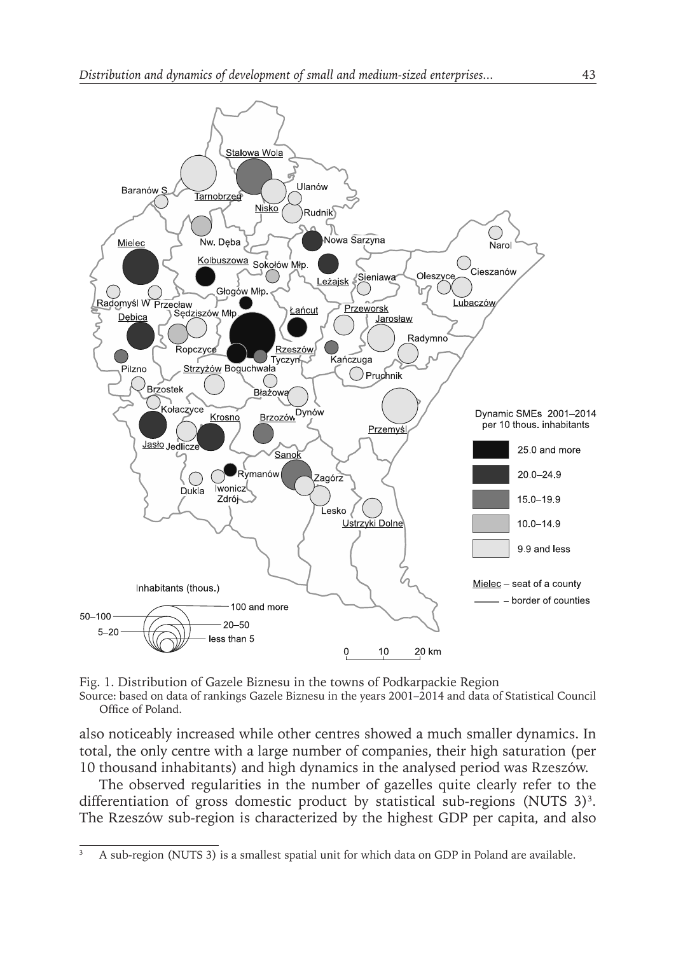

Fig. 1. Distribution of Gazele Biznesu in the towns of Podkarpackie Region

Source: based on data of rankings Gazele Biznesu in the years 2001–2014 and data of Statistical Council Office of Poland.

also noticeably increased while other centres showed a much smaller dynamics. In total, the only centre with a large number of companies, their high saturation (per 10 thousand inhabitants) and high dynamics in the analysed period was Rzeszów.

The observed regularities in the number of gazelles quite clearly refer to the differentiation of gross domestic product by statistical sub-regions (NUTS  $3$ )<sup>3</sup>. The Rzeszów sub-region is characterized by the highest GDP per capita, and also

<sup>3</sup> A sub-region (NUTS 3) is a smallest spatial unit for which data on GDP in Poland are available.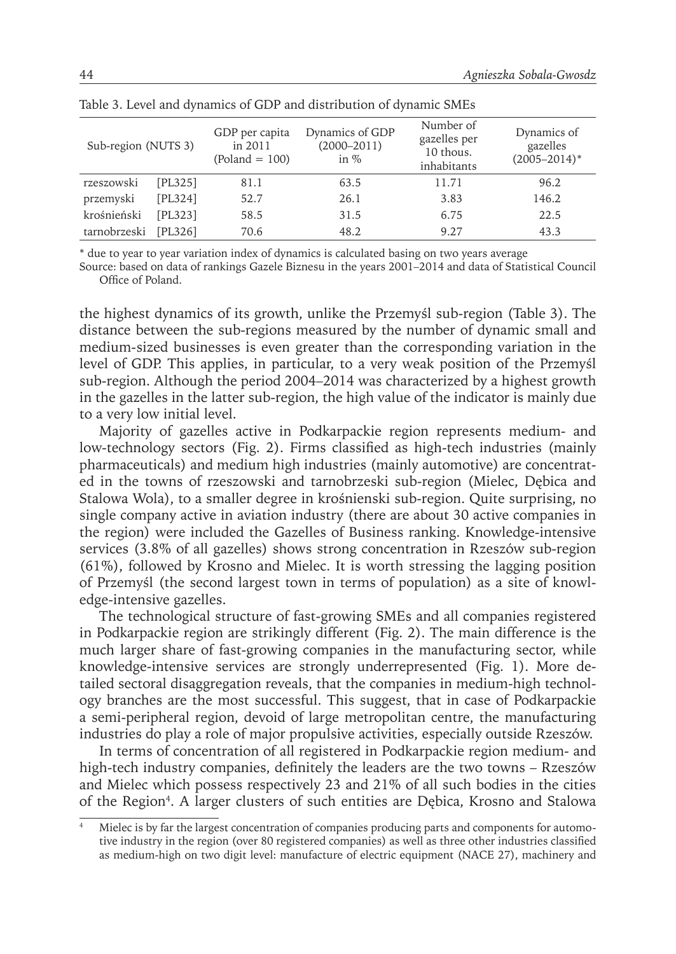| Sub-region (NUTS 3) |                | GDP per capita<br>in 2011<br>$(Poland = 100)$ | Dynamics of GDP<br>$(2000 - 2011)$<br>in $%$ | Number of<br>gazelles per<br>10 thous.<br>inhabitants | Dynamics of<br>gazelles<br>$(2005 - 2014)^*$ |
|---------------------|----------------|-----------------------------------------------|----------------------------------------------|-------------------------------------------------------|----------------------------------------------|
| rzeszowski          | [PL325]        | 81.1                                          | 63.5                                         | 11.71                                                 | 96.2                                         |
| przemyski           | [PL324]        | 52.7                                          | 26.1                                         | 3.83                                                  | 146.2                                        |
| krośnieński         | <b>FPL3231</b> | 58.5                                          | 31.5                                         | 6.75                                                  | 22.5                                         |
| tarnobrzeski        | <b>FPL3261</b> | 70.6                                          | 48.2                                         | 9.27                                                  | 43.3                                         |

Table 3. Level and dynamics of GDP and distribution of dynamic SMEs

\* due to year to year variation index of dynamics is calculated basing on two years average

Source: based on data of rankings Gazele Biznesu in the years 2001–2014 and data of Statistical Council Office of Poland.

the highest dynamics of its growth, unlike the Przemyśl sub-region (Table 3). The distance between the sub-regions measured by the number of dynamic small and medium-sized businesses is even greater than the corresponding variation in the level of GDP. This applies, in particular, to a very weak position of the Przemyśl sub-region. Although the period 2004–2014 was characterized by a highest growth in the gazelles in the latter sub-region, the high value of the indicator is mainly due to a very low initial level.

Majority of gazelles active in Podkarpackie region represents medium- and low-technology sectors (Fig. 2). Firms classified as high-tech industries (mainly pharmaceuticals) and medium high industries (mainly automotive) are concentrated in the towns of rzeszowski and tarnobrzeski sub-region (Mielec, Dębica and Stalowa Wola), to a smaller degree in krośnienski sub-region. Quite surprising, no single company active in aviation industry (there are about 30 active companies in the region) were included the Gazelles of Business ranking. Knowledge-intensive services (3.8% of all gazelles) shows strong concentration in Rzeszów sub-region (61%), followed by Krosno and Mielec. It is worth stressing the lagging position of Przemyśl (the second largest town in terms of population) as a site of knowledge-intensive gazelles.

The technological structure of fast-growing SMEs and all companies registered in Podkarpackie region are strikingly different (Fig. 2). The main difference is the much larger share of fast-growing companies in the manufacturing sector, while knowledge-intensive services are strongly underrepresented (Fig. 1). More detailed sectoral disaggregation reveals, that the companies in medium-high technology branches are the most successful. This suggest, that in case of Podkarpackie a semi-peripheral region, devoid of large metropolitan centre, the manufacturing industries do play a role of major propulsive activities, especially outside Rzeszów.

In terms of concentration of all registered in Podkarpackie region medium- and high-tech industry companies, definitely the leaders are the two towns – Rzeszów and Mielec which possess respectively 23 and 21% of all such bodies in the cities of the Region<sup>4</sup>. A larger clusters of such entities are Dębica, Krosno and Stalowa

Mielec is by far the largest concentration of companies producing parts and components for automotive industry in the region (over 80 registered companies) as well as three other industries classified as medium-high on two digit level: manufacture of electric equipment (NACE 27), machinery and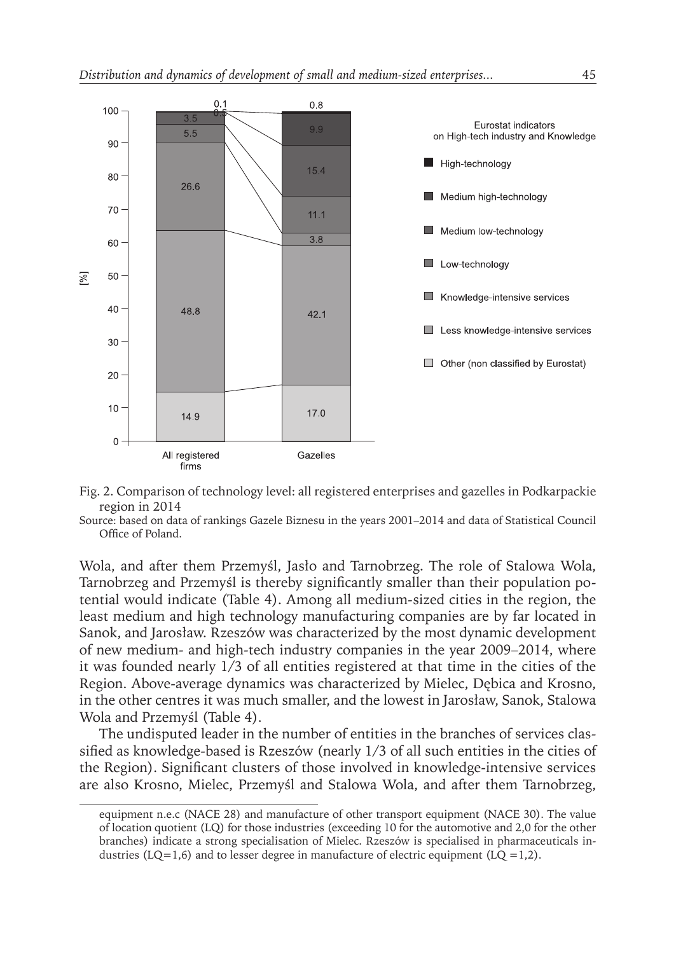



Source: based on data of rankings Gazele Biznesu in the years 2001–2014 and data of Statistical Council Office of Poland.

Wola, and after them Przemyśl, Jasło and Tarnobrzeg. The role of Stalowa Wola, Tarnobrzeg and Przemyśl is thereby significantly smaller than their population potential would indicate (Table 4). Among all medium-sized cities in the region, the least medium and high technology manufacturing companies are by far located in Sanok, and Jarosław. Rzeszów was characterized by the most dynamic development of new medium- and high-tech industry companies in the year 2009–2014, where it was founded nearly 1/3 of all entities registered at that time in the cities of the Region. Above-average dynamics was characterized by Mielec, Dębica and Krosno, in the other centres it was much smaller, and the lowest in Jarosław, Sanok, Stalowa Wola and Przemyśl (Table 4).

The undisputed leader in the number of entities in the branches of services classified as knowledge-based is Rzeszów (nearly 1/3 of all such entities in the cities of the Region). Significant clusters of those involved in knowledge-intensive services are also Krosno, Mielec, Przemyśl and Stalowa Wola, and after them Tarnobrzeg,

equipment n.e.c (NACE 28) and manufacture of other transport equipment (NACE 30). The value of location quotient (LQ) for those industries (exceeding 10 for the automotive and 2,0 for the other branches) indicate a strong specialisation of Mielec. Rzeszów is specialised in pharmaceuticals industries (LQ=1,6) and to lesser degree in manufacture of electric equipment (LQ =1,2).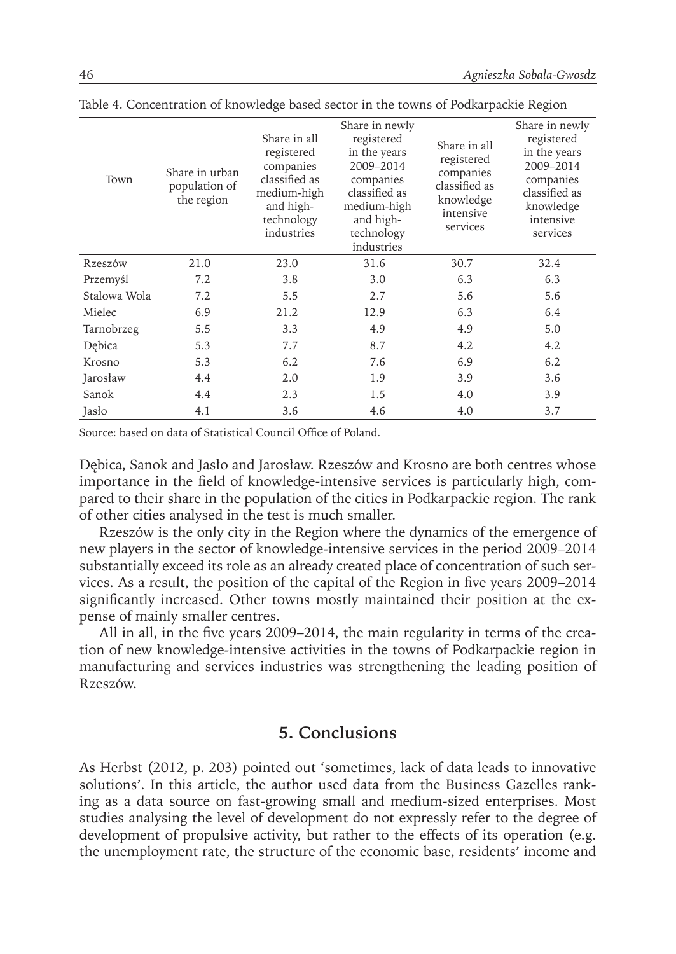| Town         | Share in urban<br>population of<br>the region | Share in all<br>registered<br>companies<br>classified as<br>medium-high<br>and high-<br>technology<br>industries | Share in newly<br>registered<br>in the years<br>2009-2014<br>companies<br>classified as<br>medium-high<br>and high-<br>technology<br>industries | Share in all<br>registered<br>companies<br>classified as<br>knowledge<br>intensive<br>services | Share in newly<br>registered<br>in the years<br>2009-2014<br>companies<br>classified as<br>knowledge<br>intensive<br>services |
|--------------|-----------------------------------------------|------------------------------------------------------------------------------------------------------------------|-------------------------------------------------------------------------------------------------------------------------------------------------|------------------------------------------------------------------------------------------------|-------------------------------------------------------------------------------------------------------------------------------|
| Rzeszów      | 21.0                                          | 23.0                                                                                                             | 31.6                                                                                                                                            | 30.7                                                                                           | 32.4                                                                                                                          |
| Przemyśl     | 7.2                                           | 3.8                                                                                                              | 3.0                                                                                                                                             | 6.3                                                                                            | 6.3                                                                                                                           |
| Stalowa Wola | 7.2                                           | 5.5                                                                                                              | 2.7                                                                                                                                             | 5.6                                                                                            | 5.6                                                                                                                           |
| Mielec       | 6.9                                           | 21.2                                                                                                             | 12.9                                                                                                                                            | 6.3                                                                                            | 6.4                                                                                                                           |
| Tarnobrzeg   | 5.5                                           | 3.3                                                                                                              | 4.9                                                                                                                                             | 4.9                                                                                            | 5.0                                                                                                                           |
| Debica       | 5.3                                           | 7.7                                                                                                              | 8.7                                                                                                                                             | 4.2                                                                                            | 4.2                                                                                                                           |
| Krosno       | 5.3                                           | 6.2                                                                                                              | 7.6                                                                                                                                             | 6.9                                                                                            | 6.2                                                                                                                           |
| Jarosław     | 4.4                                           | 2.0                                                                                                              | 1.9                                                                                                                                             | 3.9                                                                                            | 3.6                                                                                                                           |
| Sanok        | 4.4                                           | 2.3                                                                                                              | 1.5                                                                                                                                             | 4.0                                                                                            | 3.9                                                                                                                           |
| Jasło        | 4.1                                           | 3.6                                                                                                              | 4.6                                                                                                                                             | 4.0                                                                                            | 3.7                                                                                                                           |

Table 4. Concentration of knowledge based sector in the towns of Podkarpackie Region

Source: based on data of Statistical Council Office of Poland.

Dębica, Sanok and Jasło and Jarosław. Rzeszów and Krosno are both centres whose importance in the field of knowledge-intensive services is particularly high, compared to their share in the population of the cities in Podkarpackie region. The rank of other cities analysed in the test is much smaller.

Rzeszów is the only city in the Region where the dynamics of the emergence of new players in the sector of knowledge-intensive services in the period 2009–2014 substantially exceed its role as an already created place of concentration of such services. As a result, the position of the capital of the Region in five years 2009–2014 significantly increased. Other towns mostly maintained their position at the expense of mainly smaller centres.

All in all, in the five years 2009–2014, the main regularity in terms of the creation of new knowledge-intensive activities in the towns of Podkarpackie region in manufacturing and services industries was strengthening the leading position of Rzeszów.

#### **5. Conclusions**

As Herbst (2012, p. 203) pointed out 'sometimes, lack of data leads to innovative solutions'. In this article, the author used data from the Business Gazelles ranking as a data source on fast-growing small and medium-sized enterprises. Most studies analysing the level of development do not expressly refer to the degree of development of propulsive activity, but rather to the effects of its operation (e.g. the unemployment rate, the structure of the economic base, residents' income and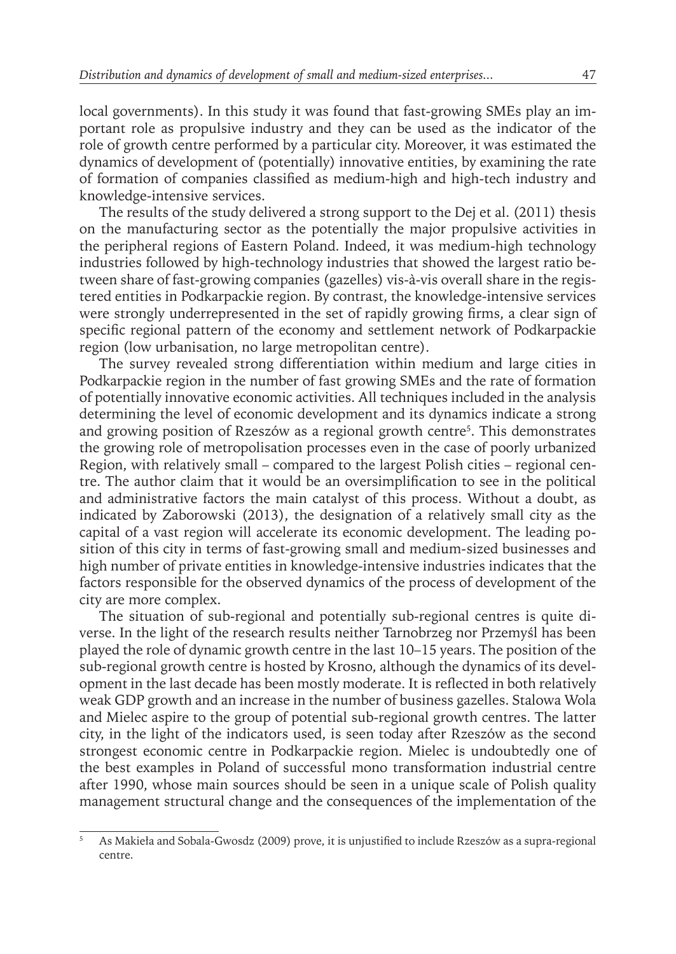local governments). In this study it was found that fast-growing SMEs play an important role as propulsive industry and they can be used as the indicator of the role of growth centre performed by a particular city. Moreover, it was estimated the dynamics of development of (potentially) innovative entities, by examining the rate of formation of companies classified as medium-high and high-tech industry and knowledge-intensive services.

The results of the study delivered a strong support to the Dej et al. (2011) thesis on the manufacturing sector as the potentially the major propulsive activities in the peripheral regions of Eastern Poland. Indeed, it was medium-high technology industries followed by high-technology industries that showed the largest ratio between share of fast-growing companies (gazelles) vis-à-vis overall share in the registered entities in Podkarpackie region. By contrast, the knowledge-intensive services were strongly underrepresented in the set of rapidly growing firms, a clear sign of specific regional pattern of the economy and settlement network of Podkarpackie region (low urbanisation, no large metropolitan centre).

The survey revealed strong differentiation within medium and large cities in Podkarpackie region in the number of fast growing SMEs and the rate of formation of potentially innovative economic activities. All techniques included in the analysis determining the level of economic development and its dynamics indicate a strong and growing position of Rzeszów as a regional growth centre<sup>5</sup> . This demonstrates the growing role of metropolisation processes even in the case of poorly urbanized Region, with relatively small – compared to the largest Polish cities – regional centre. The author claim that it would be an oversimplification to see in the political and administrative factors the main catalyst of this process. Without a doubt, as indicated by Zaborowski (2013), the designation of a relatively small city as the capital of a vast region will accelerate its economic development. The leading position of this city in terms of fast-growing small and medium-sized businesses and high number of private entities in knowledge-intensive industries indicates that the factors responsible for the observed dynamics of the process of development of the city are more complex.

The situation of sub-regional and potentially sub-regional centres is quite diverse. In the light of the research results neither Tarnobrzeg nor Przemyśl has been played the role of dynamic growth centre in the last 10–15 years. The position of the sub-regional growth centre is hosted by Krosno, although the dynamics of its development in the last decade has been mostly moderate. It is reflected in both relatively weak GDP growth and an increase in the number of business gazelles. Stalowa Wola and Mielec aspire to the group of potential sub-regional growth centres. The latter city, in the light of the indicators used, is seen today after Rzeszów as the second strongest economic centre in Podkarpackie region. Mielec is undoubtedly one of the best examples in Poland of successful mono transformation industrial centre after 1990, whose main sources should be seen in a unique scale of Polish quality management structural change and the consequences of the implementation of the

<sup>5</sup> As Makieła and Sobala-Gwosdz (2009) prove, it is unjustified to include Rzeszów as a supra-regional centre.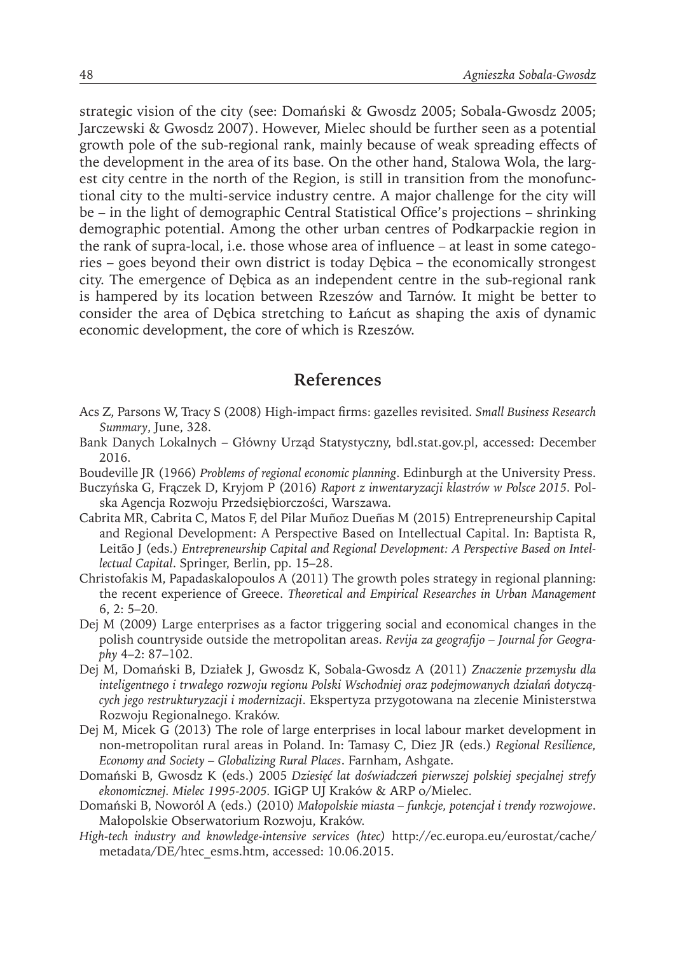strategic vision of the city (see: Domański & Gwosdz 2005; Sobala-Gwosdz 2005; Jarczewski & Gwosdz 2007). However, Mielec should be further seen as a potential growth pole of the sub-regional rank, mainly because of weak spreading effects of the development in the area of its base. On the other hand, Stalowa Wola, the largest city centre in the north of the Region, is still in transition from the monofunctional city to the multi-service industry centre. A major challenge for the city will be – in the light of demographic Central Statistical Office's projections – shrinking demographic potential. Among the other urban centres of Podkarpackie region in the rank of supra-local, i.e. those whose area of influence – at least in some categories – goes beyond their own district is today Dębica – the economically strongest city. The emergence of Dębica as an independent centre in the sub-regional rank is hampered by its location between Rzeszów and Tarnów. It might be better to consider the area of Dębica stretching to Łańcut as shaping the axis of dynamic economic development, the core of which is Rzeszów.

#### **References**

- Acs Z, Parsons W, Tracy S (2008) High-impact firms: gazelles revisited. *Small Business Research Summary*, June, 328.
- Bank Danych Lokalnych Główny Urząd Statystyczny, bdl.stat.gov.pl, accessed: December 2016.
- Boudeville JR (1966) *Problems of regional economic planning*. Edinburgh at the University Press.
- Buczyńska G, Frączek D, Kryjom P (2016) *Raport z inwentaryzacji klastrów w Polsce 2015.* Polska Agencja Rozwoju Przedsiębiorczości, Warszawa.
- Cabrita MR, Cabrita C, Matos F, del Pilar Muñoz Dueñas M (2015) Entrepreneurship Capital and Regional Development: A Perspective Based on Intellectual Capital. In: Baptista R, Leitão J (eds.) *Entrepreneurship Capital and Regional Development: A Perspective Based on Intellectual Capital*. Springer, Berlin, pp. 15–28.
- Christofakis M, Papadaskalopoulos A (2011) The growth poles strategy in regional planning: the recent experience of Greece. *Theoretical and Empirical Researches in Urban Management* 6, 2: 5–20.
- Dej M (2009) Large enterprises as a factor triggering social and economical changes in the polish countryside outside the metropolitan areas. *Revija za geografijo – Journal for Geography* 4–2: 87–102.
- Dej M, Domański B, Działek J, Gwosdz K, Sobala-Gwosdz A (2011) *Znaczenie przemysłu dla inteligentnego i trwałego rozwoju regionu Polski Wschodniej oraz podejmowanych działań dotyczących jego restrukturyzacji i modernizacji*. Ekspertyza przygotowana na zlecenie Ministerstwa Rozwoju Regionalnego. Kraków.
- Dej M, Micek G (2013) The role of large enterprises in local labour market development in non-metropolitan rural areas in Poland. In: Tamasy C, Diez JR (eds.) *Regional Resilience, Economy and Society – Globalizing Rural Places*. Farnham, Ashgate.
- Domański B, Gwosdz K (eds.) 2005 *Dziesięć lat doświadczeń pierwszej polskiej specjalnej strefy ekonomicznej. Mielec 1995-2005.* IGiGP UJ Kraków & ARP o/Mielec.
- Domański B, Noworól A (eds.) (2010) *Małopolskie miasta funkcje, potencjał i trendy rozwojowe*. Małopolskie Obserwatorium Rozwoju, Kraków.
- *High-tech industry and knowledge-intensive services (htec)* http://ec.europa.eu/eurostat/cache/ metadata/DE/htec\_esms.htm, accessed: 10.06.2015.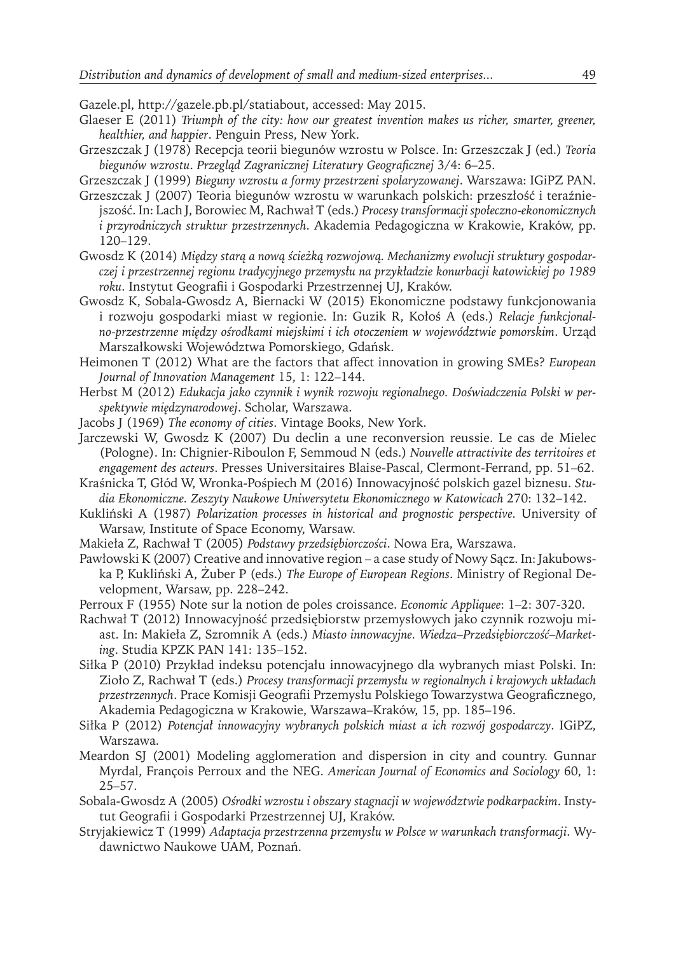Gazele.pl, http://gazele.pb.pl/statiabout, accessed: May 2015.

- Glaeser E (2011) *Triumph of the city: how our greatest invention makes us richer, smarter, greener, healthier, and happier*. Penguin Press, New York.
- Grzeszczak J (1978) Recepcja teorii biegunów wzrostu w Polsce. In: Grzeszczak J (ed.) *Teoria biegunów wzrostu*. *Przegląd Zagranicznej Literatury Geograficznej* 3/4: 6–25.

Grzeszczak J (1999) *Bieguny wzrostu a formy przestrzeni spolaryzowanej*. Warszawa: IGiPZ PAN.

- Grzeszczak J (2007) Teoria biegunów wzrostu w warunkach polskich: przeszłość i teraźniejszość. In: Lach J, Borowiec M, Rachwał T (eds.) *Procesy transformacji społeczno-ekonomicznych i przyrodniczych struktur przestrzennych*. Akademia Pedagogiczna w Krakowie, Kraków, pp. 120–129.
- Gwosdz K (2014) *Między starą a nową ścieżką rozwojową. Mechanizmy ewolucji struktury gospodarczej i przestrzennej regionu tradycyjnego przemysłu na przykładzie konurbacji katowickiej po 1989 roku*. Instytut Geografii i Gospodarki Przestrzennej UJ, Kraków.
- Gwosdz K, Sobala-Gwosdz A, Biernacki W (2015) Ekonomiczne podstawy funkcjonowania i rozwoju gospodarki miast w regionie. In: Guzik R, Kołoś A (eds.) *Relacje funkcjonalno-przestrzenne między ośrodkami miejskimi i ich otoczeniem w województwie pomorskim*. Urząd Marszałkowski Województwa Pomorskiego, Gdańsk.
- Heimonen T (2012) What are the factors that affect innovation in growing SMEs? *European Journal of Innovation Management* 15, 1: 122–144.
- Herbst M (2012) *Edukacja jako czynnik i wynik rozwoju regionalnego. Doświadczenia Polski w perspektywie międzynarodowej*. Scholar, Warszawa.
- Jacobs J (1969) *The economy of cities*. Vintage Books, New York.
- Jarczewski W, Gwosdz K (2007) Du declin a une reconversion reussie. Le cas de Mielec (Pologne). In: Chignier-Riboulon F, Semmoud N (eds.) *Nouvelle attractivite des territoires et engagement des acteurs*. Presses Universitaires Blaise-Pascal, Clermont-Ferrand, pp. 51–62.
- Kraśnicka T, Głód W, Wronka-Pośpiech M (2016) Innowacyjność polskich gazel biznesu. *Studia Ekonomiczne. Zeszyty Naukowe Uniwersytetu Ekonomicznego w Katowicach* 270: 132–142.
- Kukliński A (1987) *Polarization processes in historical and prognostic perspective.* University of Warsaw, Institute of Space Economy, Warsaw.
- Makieła Z, Rachwał T (2005) *Podstawy przedsiębiorczości*. Nowa Era, Warszawa.
- Pawłowski K (2007) Creative and innovative region a case study of Nowy Sącz. In: Jakubowska P, Kukliński A, Żuber P (eds.) *The Europe of European Regions*. Ministry of Regional Development, Warsaw, pp. 228–242.
- Perroux F (1955) Note sur la notion de poles croissance. *Economic Appliquee*: 1–2: 307-320.
- Rachwał T (2012) Innowacyjność przedsiębiorstw przemysłowych jako czynnik rozwoju miast. In: Makieła Z, Szromnik A (eds.) *Miasto innowacyjne. Wiedza–Przedsiębiorczość–Marketing*. Studia KPZK PAN 141: 135–152.
- Siłka P (2010) Przykład indeksu potencjału innowacyjnego dla wybranych miast Polski. In: Zioło Z, Rachwał T (eds.) *Procesy transformacji przemysłu w regionalnych i krajowych układach przestrzennych*. Prace Komisji Geografii Przemysłu Polskiego Towarzystwa Geograficznego, Akademia Pedagogiczna w Krakowie, Warszawa–Kraków, 15, pp. 185–196.
- Siłka P (2012) *Potencjał innowacyjny wybranych polskich miast a ich rozwój gospodarczy*. IGiPZ, Warszawa.
- Meardon SJ (2001) Modeling agglomeration and dispersion in city and country. Gunnar Myrdal, François Perroux and the NEG. *American Journal of Economics and Sociology* 60, 1: 25–57.
- Sobala-Gwosdz A (2005) *Ośrodki wzrostu i obszary stagnacji w województwie podkarpackim*. Instytut Geografii i Gospodarki Przestrzennej UJ, Kraków.
- Stryjakiewicz T (1999) *Adaptacja przestrzenna przemysłu w Polsce w warunkach transformacji*. Wydawnictwo Naukowe UAM, Poznań.